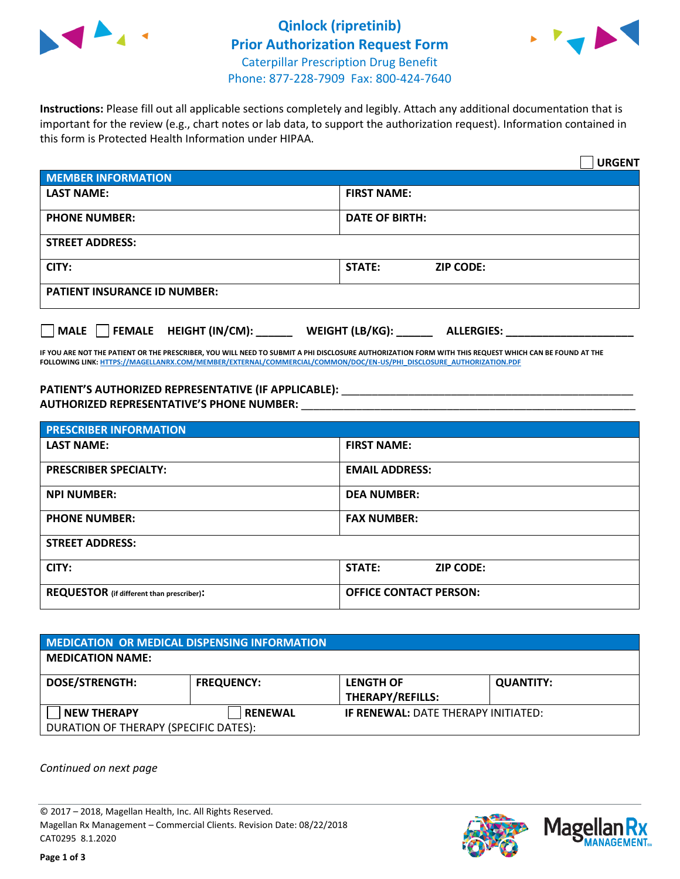



**Instructions:** Please fill out all applicable sections completely and legibly. Attach any additional documentation that is important for the review (e.g., chart notes or lab data, to support the authorization request). Information contained in this form is Protected Health Information under HIPAA.

|                                                | <b>URGENT</b>                        |  |  |  |
|------------------------------------------------|--------------------------------------|--|--|--|
| <b>MEMBER INFORMATION</b>                      |                                      |  |  |  |
| <b>LAST NAME:</b>                              | <b>FIRST NAME:</b>                   |  |  |  |
| <b>PHONE NUMBER:</b>                           | <b>DATE OF BIRTH:</b>                |  |  |  |
| <b>STREET ADDRESS:</b>                         |                                      |  |  |  |
| CITY:                                          | <b>STATE:</b><br><b>ZIP CODE:</b>    |  |  |  |
| <b>PATIENT INSURANCE ID NUMBER:</b>            |                                      |  |  |  |
| $\Box$ FEMALE HEIGHT (IN/CM): _<br><b>MALE</b> | WEIGHT (LB/KG):<br><b>ALLERGIES:</b> |  |  |  |

**IF YOU ARE NOT THE PATIENT OR THE PRESCRIBER, YOU WILL NEED TO SUBMIT A PHI DISCLOSURE AUTHORIZATION FORM WITH THIS REQUEST WHICH CAN BE FOUND AT THE FOLLOWING LINK[: HTTPS://MAGELLANRX.COM/MEMBER/EXTERNAL/COMMERCIAL/COMMON/DOC/EN-US/PHI\\_DISCLOSURE\\_AUTHORIZATION.PDF](https://magellanrx.com/member/external/commercial/common/doc/en-us/PHI_Disclosure_Authorization.pdf)**

PATIENT'S AUTHORIZED REPRESENTATIVE (IF APPLICABLE): \_\_\_\_\_\_\_\_\_\_\_\_\_\_\_\_\_\_\_\_\_\_\_\_\_\_\_ **AUTHORIZED REPRESENTATIVE'S PHONE NUMBER:** \_\_\_\_\_\_\_\_\_\_\_\_\_\_\_\_\_\_\_\_\_\_\_\_\_\_\_\_\_\_\_\_\_\_\_\_\_\_\_\_\_\_\_\_\_\_\_\_\_\_\_\_\_\_\_

| <b>PRESCRIBER INFORMATION</b>             |                               |  |  |  |
|-------------------------------------------|-------------------------------|--|--|--|
| <b>LAST NAME:</b>                         | <b>FIRST NAME:</b>            |  |  |  |
| <b>PRESCRIBER SPECIALTY:</b>              | <b>EMAIL ADDRESS:</b>         |  |  |  |
| <b>NPI NUMBER:</b>                        | <b>DEA NUMBER:</b>            |  |  |  |
| <b>PHONE NUMBER:</b>                      | <b>FAX NUMBER:</b>            |  |  |  |
| <b>STREET ADDRESS:</b>                    |                               |  |  |  |
| CITY:                                     | STATE:<br><b>ZIP CODE:</b>    |  |  |  |
| REQUESTOR (if different than prescriber): | <b>OFFICE CONTACT PERSON:</b> |  |  |  |

| <b>MEDICATION OR MEDICAL DISPENSING INFORMATION</b> |                   |                                            |                  |  |  |
|-----------------------------------------------------|-------------------|--------------------------------------------|------------------|--|--|
| <b>MEDICATION NAME:</b>                             |                   |                                            |                  |  |  |
| <b>DOSE/STRENGTH:</b>                               | <b>FREQUENCY:</b> | <b>LENGTH OF</b>                           | <b>QUANTITY:</b> |  |  |
|                                                     |                   | <b>THERAPY/REFILLS:</b>                    |                  |  |  |
| <b>NEW THERAPY</b>                                  | <b>RENEWAL</b>    | <b>IF RENEWAL: DATE THERAPY INITIATED:</b> |                  |  |  |
| DURATION OF THERAPY (SPECIFIC DATES):               |                   |                                            |                  |  |  |

*Continued on next page*

© 2017 – 2018, Magellan Health, Inc. All Rights Reserved. Magellan Rx Management – Commercial Clients. Revision Date: 08/22/2018 CAT0295 8.1.2020



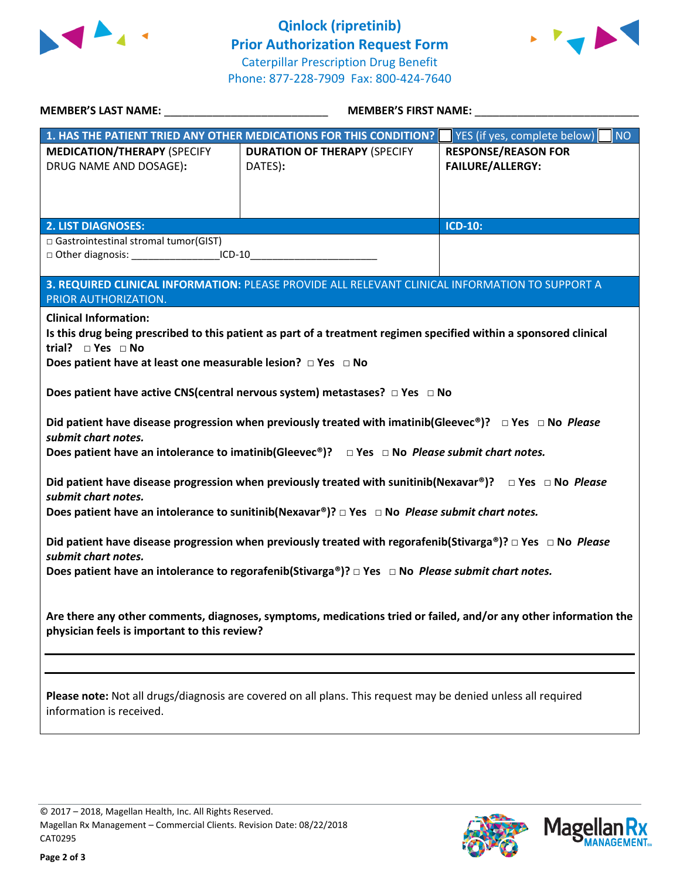



| MEMBER'S LAST NAME: NAME:                                                                                                              | <b>MEMBER'S FIRST NAME:</b>                                                                                                     |                                    |  |  |
|----------------------------------------------------------------------------------------------------------------------------------------|---------------------------------------------------------------------------------------------------------------------------------|------------------------------------|--|--|
|                                                                                                                                        | 1. HAS THE PATIENT TRIED ANY OTHER MEDICATIONS FOR THIS CONDITION?                                                              | NO<br>YES (if yes, complete below) |  |  |
| <b>MEDICATION/THERAPY (SPECIFY</b>                                                                                                     | <b>DURATION OF THERAPY (SPECIFY</b>                                                                                             | <b>RESPONSE/REASON FOR</b>         |  |  |
| DRUG NAME AND DOSAGE):                                                                                                                 | DATES):                                                                                                                         | <b>FAILURE/ALLERGY:</b>            |  |  |
|                                                                                                                                        |                                                                                                                                 |                                    |  |  |
|                                                                                                                                        |                                                                                                                                 |                                    |  |  |
| <b>2. LIST DIAGNOSES:</b>                                                                                                              |                                                                                                                                 | <b>ICD-10:</b>                     |  |  |
| □ Gastrointestinal stromal tumor(GIST)                                                                                                 |                                                                                                                                 |                                    |  |  |
| □ Other diagnosis: _____________________ICD-10_________________________________                                                        |                                                                                                                                 |                                    |  |  |
|                                                                                                                                        |                                                                                                                                 |                                    |  |  |
| PRIOR AUTHORIZATION.                                                                                                                   | 3. REQUIRED CLINICAL INFORMATION: PLEASE PROVIDE ALL RELEVANT CLINICAL INFORMATION TO SUPPORT A                                 |                                    |  |  |
| <b>Clinical Information:</b>                                                                                                           |                                                                                                                                 |                                    |  |  |
|                                                                                                                                        | Is this drug being prescribed to this patient as part of a treatment regimen specified within a sponsored clinical              |                                    |  |  |
| trial? $\Box$ Yes $\Box$ No                                                                                                            |                                                                                                                                 |                                    |  |  |
| Does patient have at least one measurable lesion? $\Box$ Yes $\Box$ No                                                                 |                                                                                                                                 |                                    |  |  |
|                                                                                                                                        |                                                                                                                                 |                                    |  |  |
|                                                                                                                                        | Does patient have active CNS(central nervous system) metastases? $\Box$ Yes $\Box$ No                                           |                                    |  |  |
|                                                                                                                                        | Did patient have disease progression when previously treated with imatinib(Gleevec®)? $\Box$ Yes $\Box$ No Please               |                                    |  |  |
| submit chart notes.                                                                                                                    |                                                                                                                                 |                                    |  |  |
|                                                                                                                                        | Does patient have an intolerance to imatinib(Gleevec®)? $\Box$ Yes $\Box$ No Please submit chart notes.                         |                                    |  |  |
|                                                                                                                                        |                                                                                                                                 |                                    |  |  |
|                                                                                                                                        | Did patient have disease progression when previously treated with sunitinib(Nexavar®)? $\square$ Yes $\square$ No <i>Please</i> |                                    |  |  |
| submit chart notes.<br>Does patient have an intolerance to sunitinib(Nexavar®)? $\Box$ Yes $\Box$ No <i>Please submit chart notes.</i> |                                                                                                                                 |                                    |  |  |
|                                                                                                                                        |                                                                                                                                 |                                    |  |  |
| Did patient have disease progression when previously treated with regorafenib(Stivarga®)? $\Box$ Yes $\Box$ No <i>Please</i>           |                                                                                                                                 |                                    |  |  |
| submit chart notes.                                                                                                                    |                                                                                                                                 |                                    |  |  |
| Does patient have an intolerance to regorafenib(Stivarga®)? $\Box$ Yes $\Box$ No <i>Please submit chart notes.</i>                     |                                                                                                                                 |                                    |  |  |
|                                                                                                                                        |                                                                                                                                 |                                    |  |  |
|                                                                                                                                        | Are there any other comments, diagnoses, symptoms, medications tried or failed, and/or any other information the                |                                    |  |  |
| physician feels is important to this review?                                                                                           |                                                                                                                                 |                                    |  |  |
|                                                                                                                                        |                                                                                                                                 |                                    |  |  |
|                                                                                                                                        |                                                                                                                                 |                                    |  |  |
|                                                                                                                                        |                                                                                                                                 |                                    |  |  |
| Please note: Not all drugs/diagnosis are covered on all plans. This request may be denied unless all required                          |                                                                                                                                 |                                    |  |  |
| information is received.                                                                                                               |                                                                                                                                 |                                    |  |  |
|                                                                                                                                        |                                                                                                                                 |                                    |  |  |